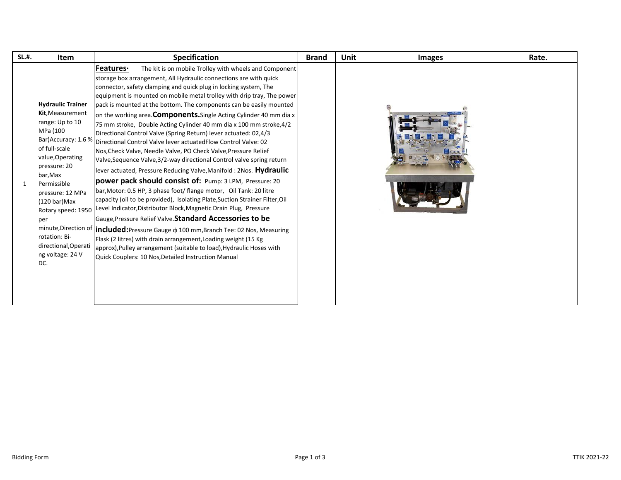| <b>SL.#.</b> | Item                                                                                                                                                                                                                                                                                                                                            | <b>Specification</b>                                                                                                                                                                                                                                                                                                                                                                                                                                                                                                                                                                                                                                                                                                                                                                                                                                                                                                                                                                                                                                                                                                                                                                                                                                                                                                                                                                                                                                                                                          | <b>Brand</b> | Unit | <b>Images</b> | Rate. |
|--------------|-------------------------------------------------------------------------------------------------------------------------------------------------------------------------------------------------------------------------------------------------------------------------------------------------------------------------------------------------|---------------------------------------------------------------------------------------------------------------------------------------------------------------------------------------------------------------------------------------------------------------------------------------------------------------------------------------------------------------------------------------------------------------------------------------------------------------------------------------------------------------------------------------------------------------------------------------------------------------------------------------------------------------------------------------------------------------------------------------------------------------------------------------------------------------------------------------------------------------------------------------------------------------------------------------------------------------------------------------------------------------------------------------------------------------------------------------------------------------------------------------------------------------------------------------------------------------------------------------------------------------------------------------------------------------------------------------------------------------------------------------------------------------------------------------------------------------------------------------------------------------|--------------|------|---------------|-------|
| $\mathbf{1}$ | <b>Hydraulic Trainer</b><br>Kit, Measurement<br>range: Up to 10<br>MPa (100<br>Bar) Accuracy: 1.6 %<br>of full-scale<br>value, Operating<br>pressure: 20<br>bar,Max<br>Permissible<br>pressure: 12 MPa<br>(120 bar)Max<br>Rotary speed: 1950<br>per<br>minute, Direction of<br>rotation: Bi-<br>directional, Operati<br>ng voltage: 24 V<br>DC. | <b>Features</b><br>The kit is on mobile Trolley with wheels and Component<br>storage box arrangement, All Hydraulic connections are with quick<br>connector, safety clamping and quick plug in locking system, The<br>equipment is mounted on mobile metal trolley with drip tray, The power<br>pack is mounted at the bottom. The components can be easily mounted<br>on the working area. Components. Single Acting Cylinder 40 mm dia x<br>75 mm stroke, Double Acting Cylinder 40 mm dia x 100 mm stroke, 4/2<br>Directional Control Valve (Spring Return) lever actuated: 02,4/3<br>Directional Control Valve lever actuatedFlow Control Valve: 02<br>Nos, Check Valve, Needle Valve, PO Check Valve, Pressure Relief<br>Valve, Sequence Valve, 3/2-way directional Control valve spring return<br>lever actuated, Pressure Reducing Valve, Manifold : 2Nos. Hydraulic<br>power pack should consist of: Pump: 3 LPM, Pressure: 20<br>bar, Motor: 0.5 HP, 3 phase foot/flange motor, Oil Tank: 20 litre<br>capacity (oil to be provided), Isolating Plate, Suction Strainer Filter, Oil<br>Level Indicator, Distributor Block, Magnetic Drain Plug, Pressure<br>Gauge, Pressure Relief Valve. Standard Accessories to be<br><b>included:</b> Pressure Gauge $\phi$ 100 mm, Branch Tee: 02 Nos, Measuring<br>Flask (2 litres) with drain arrangement, Loading weight (15 Kg<br>approx), Pulley arrangement (suitable to load), Hydraulic Hoses with<br>Quick Couplers: 10 Nos, Detailed Instruction Manual |              |      |               |       |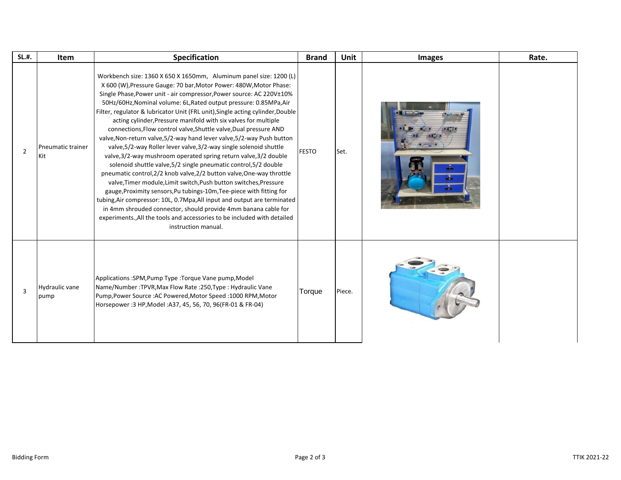| <b>SL.#.</b>   | <b>Item</b>                   | Specification                                                                                                                                                                                                                                                                                                                                                                                                                                                                                                                                                                                                                                                                                                                                                                                                                                                                                                                                                                                                                                                                                                                                                                                                                                                                   | <b>Brand</b> | <b>Unit</b> | <b>Images</b> | Rate. |
|----------------|-------------------------------|---------------------------------------------------------------------------------------------------------------------------------------------------------------------------------------------------------------------------------------------------------------------------------------------------------------------------------------------------------------------------------------------------------------------------------------------------------------------------------------------------------------------------------------------------------------------------------------------------------------------------------------------------------------------------------------------------------------------------------------------------------------------------------------------------------------------------------------------------------------------------------------------------------------------------------------------------------------------------------------------------------------------------------------------------------------------------------------------------------------------------------------------------------------------------------------------------------------------------------------------------------------------------------|--------------|-------------|---------------|-------|
| $\overline{2}$ | Pneumatic trainer<br>Kit      | Workbench size: 1360 X 650 X 1650mm, Aluminum panel size: 1200 (L)<br>X 600 (W), Pressure Gauge: 70 bar, Motor Power: 480W, Motor Phase:<br>Single Phase, Power unit - air compressor, Power source: AC 220V±10%<br>50Hz/60Hz, Nominal volume: 6L, Rated output pressure: 0.85MPa, Air<br>Filter, regulator & lubricator Unit (FRL unit), Single acting cylinder, Double<br>acting cylinder, Pressure manifold with six valves for multiple<br>connections, Flow control valve, Shuttle valve, Dual pressure AND<br>valve, Non-return valve, 5/2-way hand lever valve, 5/2-way Push button<br>valve, 5/2-way Roller lever valve, 3/2-way single solenoid shuttle<br>valve, 3/2-way mushroom operated spring return valve, 3/2 double<br>solenoid shuttle valve, 5/2 single pneumatic control, 5/2 double<br>pneumatic control, 2/2 knob valve, 2/2 button valve, One-way throttle<br>valve, Timer module, Limit switch, Push button switches, Pressure<br>gauge, Proximity sensors, Pu tubings-10m, Tee-piece with fitting for<br>tubing, Air compressor: 10L, 0.7Mpa, All input and output are terminated<br>in 4mm shrouded connector, should provide 4mm banana cable for<br>experiments., All the tools and accessories to be included with detailed<br>instruction manual. | <b>FESTO</b> | Set.        |               |       |
| $\overline{3}$ | <b>Hydraulic vane</b><br>pump | Applications :SPM, Pump Type :Torque Vane pump, Model<br>Name/Number: TPVR, Max Flow Rate: 250, Type: Hydraulic Vane<br>Pump, Power Source: AC Powered, Motor Speed: 1000 RPM, Motor<br>Horsepower : 3 HP, Model : A37, 45, 56, 70, 96(FR-01 & FR-04)                                                                                                                                                                                                                                                                                                                                                                                                                                                                                                                                                                                                                                                                                                                                                                                                                                                                                                                                                                                                                           | Torque       | Piece.      |               |       |